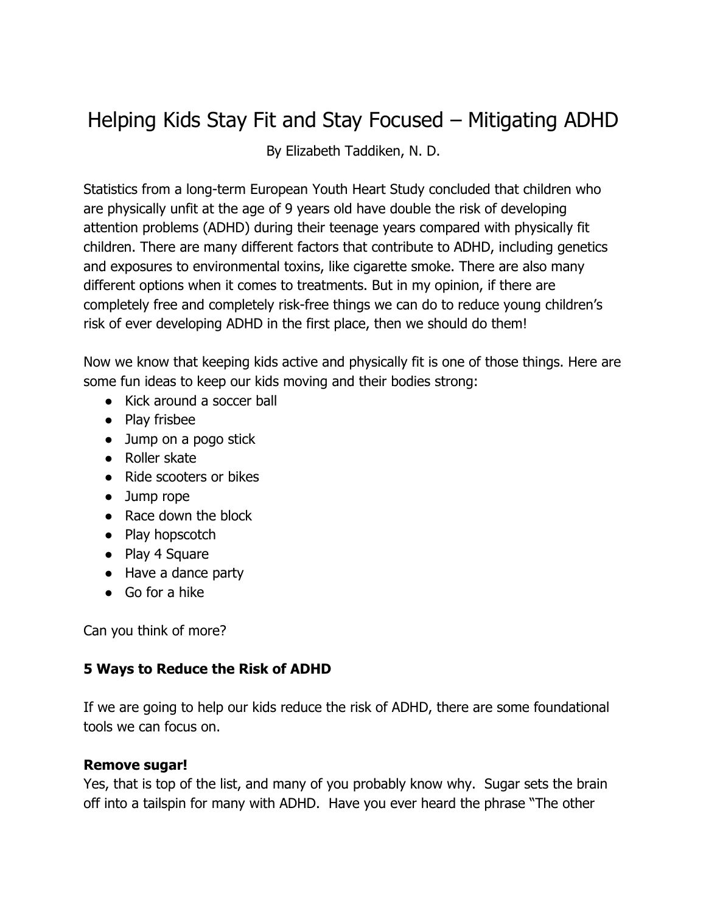# Helping Kids Stay Fit and Stay Focused – Mitigating ADHD

By Elizabeth Taddiken, N. D.

Statistics from a long-term European Youth Heart Study concluded that children who are physically unfit at the age of 9 years old have double the risk of developing attention problems (ADHD) during their teenage years compared with physically fit children. There are many different factors that contribute to ADHD, including genetics and exposures to environmental toxins, like cigarette smoke. There are also many different options when it comes to treatments. But in my opinion, if there are completely free and completely risk-free things we can do to reduce young children's risk of ever developing ADHD in the first place, then we should do them!

Now we know that keeping kids active and physically fit is one of those things. Here are some fun ideas to keep our kids moving and their bodies strong:

- Kick around a soccer ball
- Play frisbee
- Jump on a pogo stick
- Roller skate
- Ride scooters or bikes
- Jump rope
- Race down the block
- Play hopscotch
- Play 4 Square
- Have a dance party
- Go for a hike

Can you think of more?

# **5 Ways to Reduce the Risk of ADHD**

If we are going to help our kids reduce the risk of ADHD, there are some foundational tools we can focus on.

#### **Remove sugar!**

Yes, that is top of the list, and many of you probably know why. Sugar sets the brain off into a tailspin for many with ADHD. Have you ever heard the phrase "The other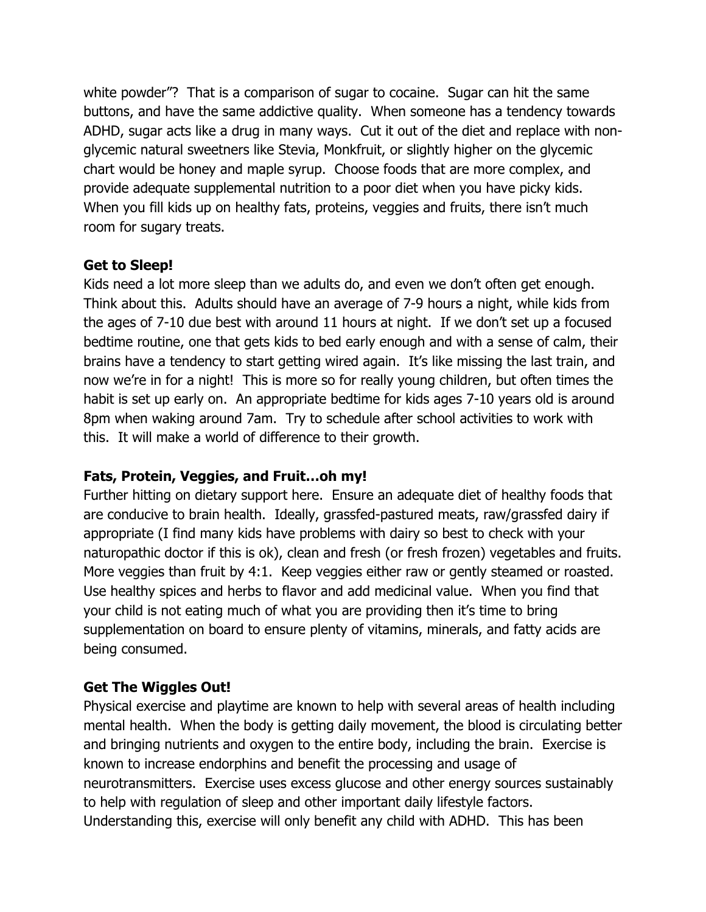white powder"? That is a comparison of sugar to cocaine. Sugar can hit the same buttons, and have the same addictive quality. When someone has a tendency towards ADHD, sugar acts like a drug in many ways. Cut it out of the diet and replace with nonglycemic natural sweetners like Stevia, Monkfruit, or slightly higher on the glycemic chart would be honey and maple syrup. Choose foods that are more complex, and provide adequate supplemental nutrition to a poor diet when you have picky kids. When you fill kids up on healthy fats, proteins, veggies and fruits, there isn't much room for sugary treats.

### **Get to Sleep!**

Kids need a lot more sleep than we adults do, and even we don't often get enough. Think about this. Adults should have an average of 7-9 hours a night, while kids from the ages of 7-10 due best with around 11 hours at night. If we don't set up a focused bedtime routine, one that gets kids to bed early enough and with a sense of calm, their brains have a tendency to start getting wired again. It's like missing the last train, and now we're in for a night! This is more so for really young children, but often times the habit is set up early on. An appropriate bedtime for kids ages 7-10 years old is around 8pm when waking around 7am. Try to schedule after school activities to work with this. It will make a world of difference to their growth.

#### **Fats, Protein, Veggies, and Fruit…oh my!**

Further hitting on dietary support here. Ensure an adequate diet of healthy foods that are conducive to brain health. Ideally, grassfed-pastured meats, raw/grassfed dairy if appropriate (I find many kids have problems with dairy so best to check with your naturopathic doctor if this is ok), clean and fresh (or fresh frozen) vegetables and fruits. More veggies than fruit by 4:1. Keep veggies either raw or gently steamed or roasted. Use healthy spices and herbs to flavor and add medicinal value. When you find that your child is not eating much of what you are providing then it's time to bring supplementation on board to ensure plenty of vitamins, minerals, and fatty acids are being consumed.

# **Get The Wiggles Out!**

Physical exercise and playtime are known to help with several areas of health including mental health. When the body is getting daily movement, the blood is circulating better and bringing nutrients and oxygen to the entire body, including the brain. Exercise is known to increase endorphins and benefit the processing and usage of neurotransmitters. Exercise uses excess glucose and other energy sources sustainably to help with regulation of sleep and other important daily lifestyle factors. Understanding this, exercise will only benefit any child with ADHD. This has been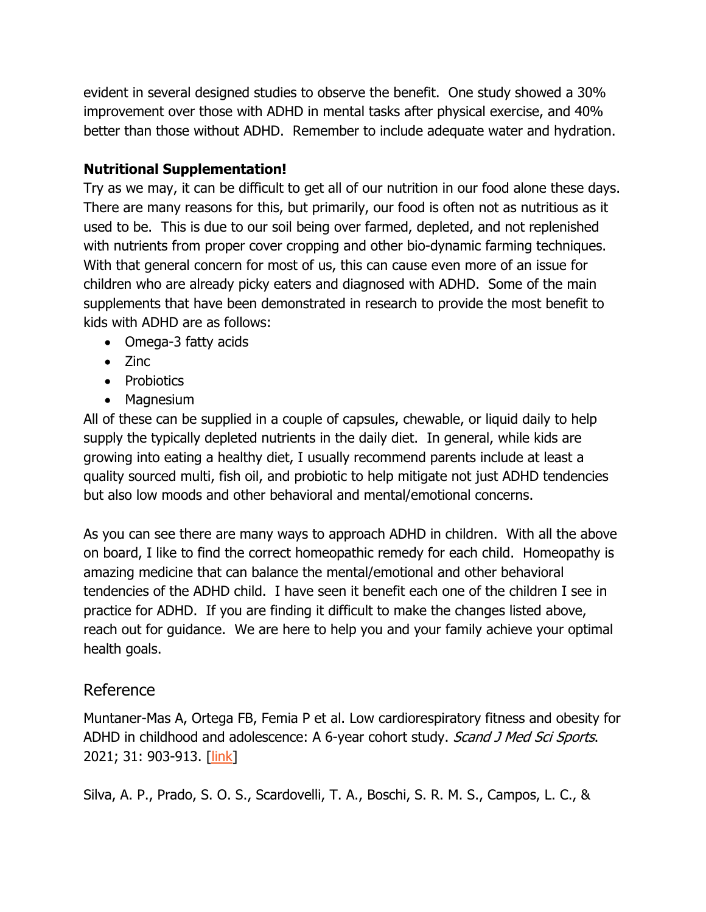evident in several designed studies to observe the benefit. One study showed a 30% improvement over those with ADHD in mental tasks after physical exercise, and 40% better than those without ADHD. Remember to include adequate water and hydration.

## **Nutritional Supplementation!**

Try as we may, it can be difficult to get all of our nutrition in our food alone these days. There are many reasons for this, but primarily, our food is often not as nutritious as it used to be. This is due to our soil being over farmed, depleted, and not replenished with nutrients from proper cover cropping and other bio-dynamic farming techniques. With that general concern for most of us, this can cause even more of an issue for children who are already picky eaters and diagnosed with ADHD. Some of the main supplements that have been demonstrated in research to provide the most benefit to kids with ADHD are as follows:

- Omega-3 fatty acids
- Zinc
- Probiotics
- Magnesium

All of these can be supplied in a couple of capsules, chewable, or liquid daily to help supply the typically depleted nutrients in the daily diet. In general, while kids are growing into eating a healthy diet, I usually recommend parents include at least a quality sourced multi, fish oil, and probiotic to help mitigate not just ADHD tendencies but also low moods and other behavioral and mental/emotional concerns.

As you can see there are many ways to approach ADHD in children. With all the above on board, I like to find the correct homeopathic remedy for each child. Homeopathy is amazing medicine that can balance the mental/emotional and other behavioral tendencies of the ADHD child. I have seen it benefit each one of the children I see in practice for ADHD. If you are finding it difficult to make the changes listed above, reach out for guidance. We are here to help you and your family achieve your optimal health goals.

# Reference

Muntaner-Mas A, Ortega FB, Femia P et al. Low cardiorespiratory fitness and obesity for ADHD in childhood and adolescence: A 6-year cohort study. Scand J Med Sci Sports. 2021; 31: 903-913. [link]

Silva, A. P., Prado, S. O. S., Scardovelli, T. A., Boschi, S. R. M. S., Campos, L. C., &